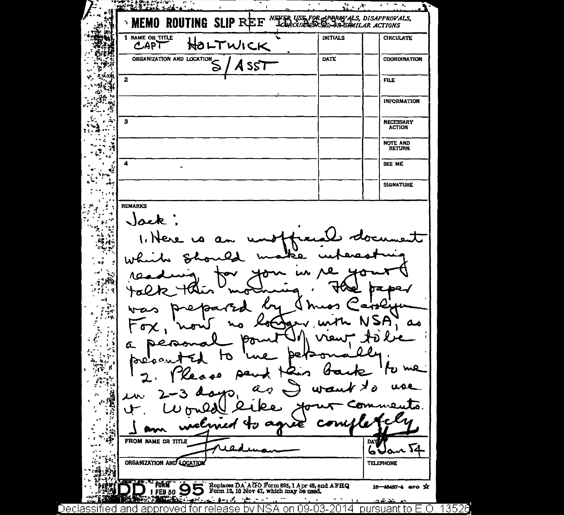**ALIAN ANGELANDIA**<br>ALIMENTA  $\ddot{\phantom{a}}$  $\overline{\phantom{a}}$  $\mathcal{C} \times \mathcal{A}$  $\bullet$  $\bullet$  $\overline{\phantom{a}}$ لان NEVER USE FOR ARBROYALS, DISAPPROVALS, ROUTING **SLIP REF MEMO** n. JA. 1 NAME OR TITLE **INITIALS CIRCULATE** HOLTWICK CAPT ORGANIZATION AND LOCATION 6.iH **DATE COORDINATION** īa i A SST Ţ. i stei  $\overline{2}$ **FILE** أكثر **INFORMATION** Ť  $\sigma_{\rm c}$ ≒.  $\mathbf{r}$  $\mathbf{3}$ × **NECESSARY ACTION** ... л 4 **NOTE AND** Ñ **RETURN** ÷  $\mathbf{a}$  $\blacktriangle$ SEE ME 43 Vers. À. **SIGNATURE REMARKS**  $\mathcal{L}$ ÷. F  $\mathcal{G}^{(1)}$  ,  $\mathcal{G}^{(2)}$ - 7 Jack  $\mathcal{F}_{\mathbf{p},\mathbf{r}}$  or ۳.  $\mathbb{R}$  $\sim$  $\mathbf{a}_{\mathbf{r}}^{\mathbf{r}}$  ,  $\mathbf{r}$  $\sim$   $\sim$ 42 - 8 فيات  $\mathcal{L}^{\text{eff}}_{\text{c},\text{c}}$  $\mathbb{R}^{n \times n}$  $-2$  $\begin{array}{c} \begin{array}{c} \mathbb{R} \\ \mathbb{R} \end{array} \end{array}$ Ì. مە  $\mathbf{r}_i$  $\Delta$  $\mathcal{L}^{\mathcal{L}}$ G.  $\pmb{\cdot}$  $\sim$ У,  $\mathbb{R}^2$  is جموا  $\Delta_{\rm B}$  $\mathbf{h}_{\mathcal{A},\mathbf{r}}$ - 1 ï.  $\mathbb{Z}_{\mathcal{P}_\mathcal{P}}$  ( me Ŷ. ے م Ñ  $\mathcal{H}$  $\mathcal{L}_{\mathcal{A}}$ FROM NAME OR TITLE **DATE**  $\boldsymbol{a}$  $6$ Uan  $\overline{14}$ J. ۰., τ. ORGANIZATION AND LOCATION **TELEPHONE** Replaces DA AGO Form 895, 1 Apr 48, and AFHQ<br>Form 12, 10 Nov 47, which may be used. FORM  $FEB 50$ 16-48487-4 aro % <u>انی این کار</u> a.  $x - 3 - 2x - 1$  $\sim$  $\sim$   $\sim$ خذفت Declassified and approved for release by NSA on 09-03-2014 pursuant to E.O. 13526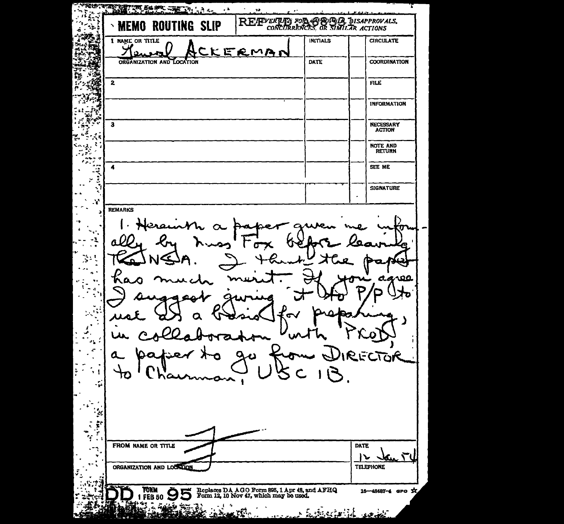**START AND THE REPORT OF A START AND START AND START AND START AND START AND START AND START AND START AND START AND START AND START AND START AND START AND START AND START AND START AND START AND START AND START AND START**  $\sim 10^{11}$  mas REFERENCE FOR CREATION DISAPPROVALS. **MEMO ROUTING SLIP**  $\mathcal{L}_{\mathcal{L}}$ A I NAME OR TITLE **INITIALS CIRCULATE** Ж KERMAN  $\Omega$ ORGANIZATION AND LOCATION DATE **COORDINATION** 76 ħ أراقه  $\mathbf{z}$ FILE s. **INFORMATION**  $\overline{\mathbf{3}}$ **NECESSARY ACTION** ś . к ī. **NOTE AND** ł. **RETURN** J.  $\overline{a}$ SEE ME  $\pmb{\mathcal{A}}$ ्द  $\mathcal{P}$ š **SIGNATURE**  $\mathcal{X}$ **REMARKS** 71 -1 ÷, ц, രമ A  $\bullet$  . 45 z ECTOR Ο 'nт 10 ◠  $\mathcal{L}_{\mathbf{p}}$ ¥ FROM NAME OR TITLE **DATE** <u>Van T</u>  $\mathsf{I}\mathsf{L}$ ORGANIZATION AND LOCKTON **TELEPHONE** Replaces DA AGO Form 895, 1 Apr 48, and AFHQ<br>Form 12, 10 Nov 47, which may be used. **FORM** 16-48487-4 GPO X 1 FEB 50 9 5 رينه بؤن ÷, <u>أَمْرَ لَا يُوتَّكُ</u> a¥°e ÷ يخف <u> ئەيمى</u>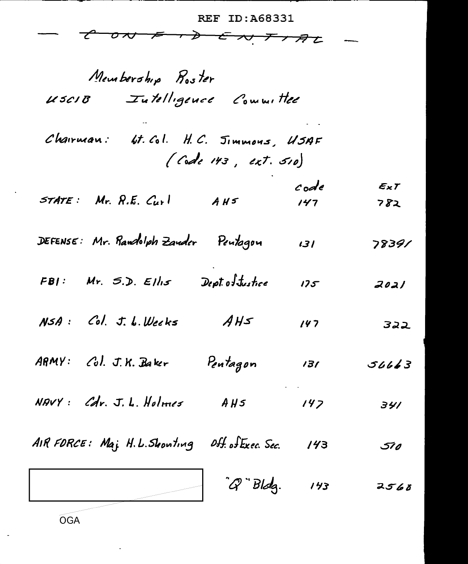REF ID: A68331

 $E_{\times}T$ 

 $782$ 

78391

 $2021$ 

322

 $56663$ 

341

 $510$ 

 $2560$ 

 $\boldsymbol{\tau}$  $\boldsymbol{\nsim}$  $\sigma$ r $\sigma$ プ チンタと  $\overline{\phantom{a}}$ 

Membership Roster

OGA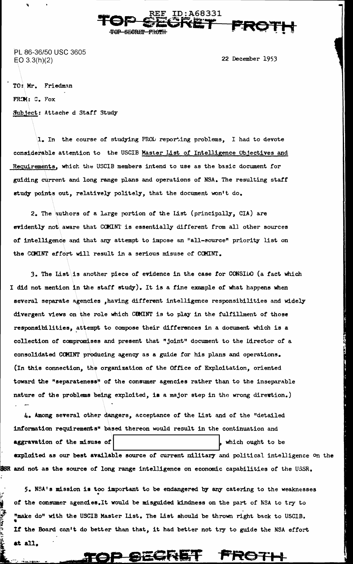**\EF ID:A68331 TOP SECRET UP SECRET FROTH** 

PL 86-36/50 USC 3605 EO 3.3(h)(2) 22 December 1953

TO: Mr. Friedman FROM: C. Fox Subject: Attache d Staff Study

J'

Ý Į

1. In the course of studying PROL reporting problems, I had to devote considerable attention to the USCIB Master List of Intelligence Objectives and Requirements, which the USCIB members intend to use as the basic document for guiding current and long range plans and operations of NSA. The resulting staff study points out, relatively politely, that the document won't do.

2. The authors of a large portion of the List (principally, CIA) are evidently not aware that COMINT is essentially different from all other sources or intelligence and that any attempt to impose an "all-source" priority list on the COMINT effort will result in a serious misuse of COMINT.

3. The List is another piece of evidence in the case for CONSILO (a fact which <sup>I</sup>did not mention in the staff study). It is a rine example of what happens when several separate agencies ,having different intelligence responsibilities and widely divergent views on the role which CEMINT is to play in the fulfillment of those responsibilities, attempt to compose their differences in a document which is a collection of compromises and present that "joint" document to the Director of a consolidated COMINT producing agency as a guide for his plans and operations. (In thie connection, the organization of the Office of Exploitation, oriented toward the "separateness" of the consumer agencies rather than to the inseparable nature of the problems being exploited, is a major step in the wrong direvtion.)

4. Among several other dangers, acceptance of the List and of the "detailed information requirements" based thereon would result in the continuation and aggravation of the misuse of exploited as our best available source of current military and political intelligence on the which ought to be and not as the source *ot* long range intelligence on economic capabilities of the USSR.

5. NSA's mission is too important to be endangered by any catering to the weaknesses *ot* the consumer agencies.It would be misguided kindness on the part of NSA to try to "make do" with the USCIB Master List. The List should be thrown right back to USCIB. • If the Board can't do better than that, it had better not try to guide the NSA effort **at.** all.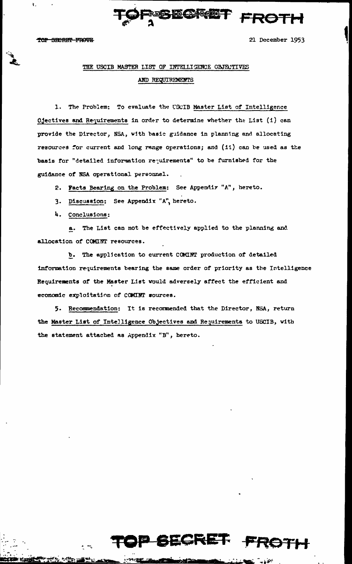$\ddot{\mathbf{r}}$ .



21 December 1953

# THE USCIB MASTER LIST OF INTELLIGENCE OBJECTIVES AND REQUIREMENTS

1. The Problem: To evaluate the USCIB Master List of Intelligence Ojectives and Requirements in order to determine whether the List (i) can provide the Director, NSA, with basic guidance in planning and allocating resources for current and long range operations; and (ii) can be used as the basis for "detailed information requirements" to be furnished for the guidance of NSA operational personnel.

2. Facts Bearing on the Problem: See Appendix "A", hereto.

- 3. Discussion: See Appendix "A", hereto.
- 4. Conclusions:

a. The List can not be effectively applied to the planning and allocation of COMINT resources.

b. The application to current COMINT production of detailed information requirements bearing the same order of priority as the Intelligence Requirements of the Master List would adversely affect the efficient and economic exploitation of COMINT sources.

5. Recommendation: It is recormended that the Director, NSA, return the Master List of Intelligence Objectives and Requirements to USCIB, with the statement attached as Appendix "B", hereto.



 $\sim 10^{-10}$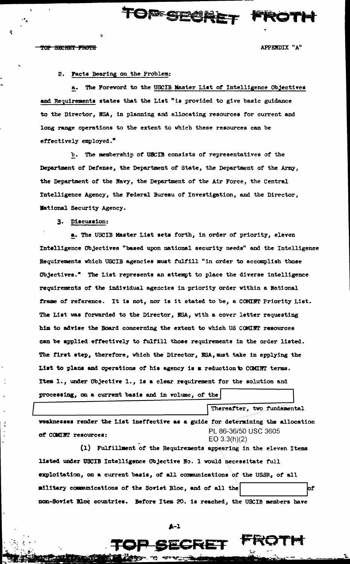$\mathbf{r}$ 

APPENDIX "A"

## 2. Facts Bearing on the Problem:

a. The Foreword to the USCIB Master List of Intelligence Objectives and Requirements states that the List "is provided to give basic guidance to the Director, NSA, in planning and allocating resources for current and long range operations to the extent to which these resources can be effectively employed."

**OFF STREET** 

b. The membership of USCIB consists of representatives of the Department of Defense, the Department of State, the Department of the Army, the Department of the Navy, the Department of the Air Force, the Central Intelligence Agency, the Federal Bureau of Investigation, and the Director, Wational Security Agency.

3. Discussion:

a. The USCIB Master List sets forth, in order of priority, eleven Intelligence Objectives "based upon national security needs" and the Intelligence Requirements which USCIB agencies must fulfill "in order to accomplish those Objectives." The List represents an attempt to place the diverse intelligence requirements of the individual agencies in priority order within a National frame of reference. It is not, nor is it stated to be, a COMINT Priority List. The List was forwarded to the Director, NSA, with a cover letter requesting him to advise the Board concerning the extent to which US COMINT resources can be applied effectively to fulfill those requirements in the order listed. The first step, therefore, which the Director, NSA, must take in applying the List to plans and operations of his agency is a reduction to COMINT terms. Item 1., under Objective 1., is a clear requirement for the solution and processing, on a current basis and in volume, of the

veaknesses render the List ineffective as a guide for determining the allocation PL 86-36/50 USC 3605 of COMINT resources:  $EQ$  3.3(h)(2)

Thereafter, two fundamental

(1) Fulfillment of the Requirements appearing in the eleven Items listed under USCIB Intelligence Objective No. 1 would necessitate full exploitation, on a current basis, of all communications of the USSR, of all military communications of the Soviet Bloc, and of all the þſ non-Soviet Bloc countries. Before Item 20. is reached, the USCIB members have

 $\lambda - 1$ 

ECRET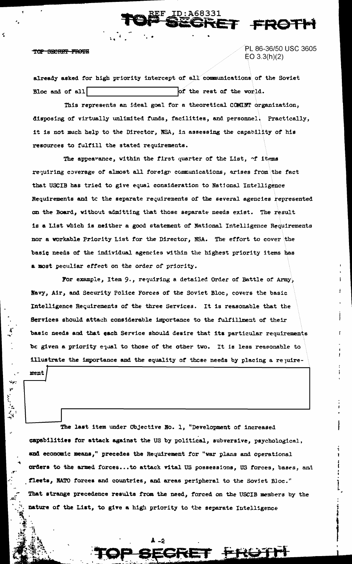ment

K.

PL 86-36/50 USC 3605  $EO 3.3(h)(2)$ 

ET FROT

already asked for high priority intercept of all communications of the Soviet of the rest of the world. Bloc and of all

D:A68331)

This represents an ideal goal for a theoretical COMINT organization, disposing of virtually unlimited funds, facilities, and personnel. Practically, it is not much help to the Director, NSA, in assessing the capability of his resources to fulfill the stated requirements.

The appearance, within the first quarter of the List, of items requiring coverage of almost all foreign communications, arises from the fact that USCIB has tried to give equal consideration to National Intelligence Requirements and to the separate requirements of the several agencies represented on the Board, without admitting that those separate needs exist. The result is a List which is neither a good statement of National Intelligence Requirements nor a workable Priority List for the Director, NSA. The effort to cover the basic needs of the individual agencies within the highest priority items has a most peculiar effect on the order of priority.

For example, Item 9., requiring a detailed Order of Battle of Army, Navy, Air, and Security Police Forces of the Soviet Bloc, covers the basic Intelligence Requirements of the three Services. It is reasonable that the Services should attach considerable importance to the fulfillment of their basic needs and that each Service should desire that its particular requirements be given a priority equal to those of the other two. It is less reasonable to illustrate the importance and the equality of those needs by placing a rejuire-

The last item under Objective No. 1. "Development of increased capabilities for attack against the US by political, subversive, psychological, and economic means," precedes the Requirement for "war plans and operational orders to the armed forces...to attack vital US possessions, US forces, bases, and fleets, NATO forces and countries, and areas peripheral to the Soviet Bloc." That strange precedence results from the need, forced on the USCIB members by the nature of the List, to give a high priority to the separate Intelligence

A \_S

<del>D</del> SEGF

iet <del>frotn</del>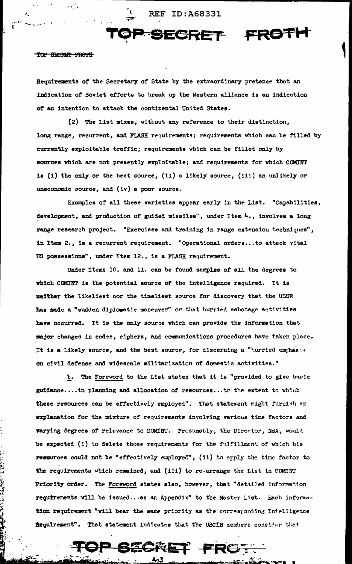**REF ID: A68331** 

 $\mathbf{I}$ 



### TOP SECRET FROTH

 $\mathcal{C}^{\mathcal{A}}$ 

 $\ddot{\cdot}$ 

Requirements of the Secretary of State by the extraordinary pretence that an indication of Soviet efforts to break up the Western alliance is an indication of an intention to attack the continental United States.

(2) The List mixes, without any reference to their distinction, long range, recurrent, and FLASH requirements; requirements which can be filled by currently exploitable traffic; requirements which can be filled only by sources which are not presently exploitable; and requirements for which COMINT is (i) the only or the best source, (ii) a likely source, (iii) an unlikely or uneconomic source, and  $(iv)$  a poor source.

Examples of all these varieties appear early in the List. "Capabilities, development, and production of guided missiles", under Item 4., involves a long range research project. "Exercises and training in range extension techniques", in Item 2., is a recurrent requirement. "Operational orders...to attack vital US possessions", under Item 12., is a FLASH requirement.

Under Items 10. and 11. can be found samples of all the degrees to which COMINT is the potential source of the intelligence required. It is maither the likeliest nor the timeliest source for discovery that the USSR has made a "sudden diplomatic maneuver" or that hurried sabotage activities have occurred. It is the only source which can provide the information that major changes in codes, ciphers, and communications procedures have taken place. It is a likely source, and the best source, for discerning a "nurried emphasts on civil defense and widescale militarization of domestic activities."

b. The Foreword to the List states that it is "provided to give basic guidance.... in planning and allocation of resources... to the extent to which these resources can be effectively employed". That statement might furnish an explanation for the mixture of requirements involving various time factors and varying degrees of relevance to COMINT. Presumably, the Director, NSA, would be expected (i) to delete those requirements for the fulfillment of which his resources could not be "effectively employed", (ii) to apply the time factor to the requirements which remained, and (iii) to re-arrange the List in COMINT Priority order. The Foreword states also, however, that "detailed information requirements vill be issued... as an Appendix" to the Master List. Each information requirement "will bear the same priority as the corresponding Intelligence Requirement". That statement indicates that the USCIB nembers consider that

TOP SECRET FROT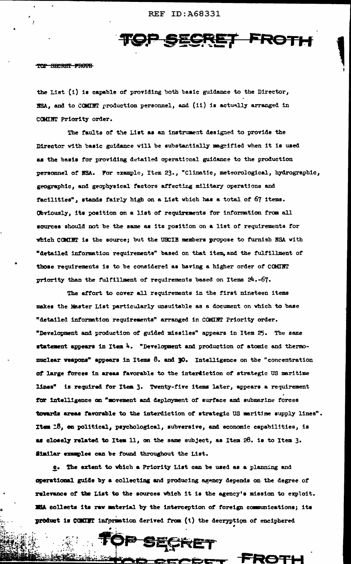TOP SECRET FROTH

the List (i) is capable of providing both basic guidance to the Director, NSA, and to COMINT production personnel, and (ii) is actually arranged in COMINT Priority order.

The faults of the List as an instrument designed to provide the Director with basic guidance will be substantially magnified when it is used as the basis for providing detailed operational guidance to the production personnel of NSA. For example, Item 23., "Climatic, meteorological, hydrographic, geographic, and geophysical factors affecting military operations and facilities", stands fairly high on a List which has a total of 67 items. Obviously, its position on a list of requirements for information from all sources should not be the same as its position on a list of requirements for which COMINT is the source; but the USCIB members propose to furnish NSA with "detailed information requirements" based on that item, and the fulfillment of those requirements is to be considered as having a higher order of COMINT priority than the fulfillment of requirements based on Items 24.-67.

The effort to cover all requirements in the first nineteen items makes the Master List particularly unsuitable as a document on which to base "detailed information requirements" arranged in COMIRT Priority order. "Development and production of guided missiles" appears in Item 25. The same statement appears in Item 4. "Development and production of atomic and thermomuclear veapons" appears in Items 8. and 30. Intelligence on the "concentration of large forces in areas favorable to the interdiction of strategic US maritime lines" is required for Item 3. Twenty-five items later, appears a requirement for intelligence on "movement and deployment of surface and submarine forces towards areas favorable to the interdiction of strategic US maritime supply lines". Item 18, on political, psychological, subversive, and economic capabilities, is as closely related to Item 11, on the same subject, as Item 28. is to Item 3. Similar examples can be found throughout the List.

g. The extent to which a Priority List can be used as a planning and operational guide by a collecting and producing agency depends on the degree of relevance of the List to the sources which it is the agency's mission to exploit. ISA collects its raw material by the interception of foreign communications; its product is COMINT information derived from (1) the decryption of enciphered

**PP SECRET** 

**ENAD CECE** 

enizativ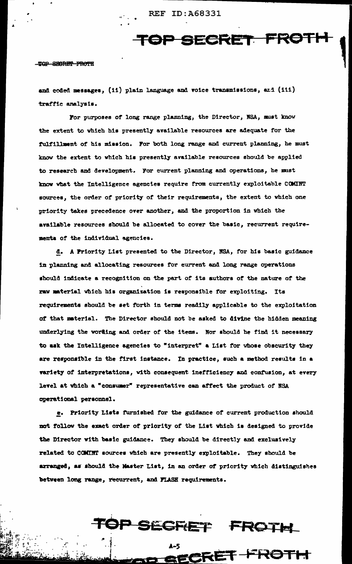**REF ID: A68331** 

TOP SECRET FROTH

#### TOP SECRET FROTH

and coded messages, (ii) plain language and voice transmissions, and (iii) traffic analysis.

For purposes of long range planning, the Director, NSA, must know the extent to which his presently available resources are adequate for the fulfillment of his mission. For both long range and current planning, he must know the extent to which his presently available resources should be applied to research and development. For current planning and operations, he must know what the Intelligence agencies require from currently exploitable COMINT sources, the order of priority of their requirements, the extent to which one priority takes precedence over another, and the proportion in which the available resources should be allocated to cover the basic, recurrent requirements of the individual agencies.

d. A Priority List presented to the Director, NSA, for his basic guidance in planning and allocating resources for current and long range operations should indicate a recognition on the part of its suthors of the nature of the raw material which his organization is responsible for exploiting. Its requirements should be set forth in terms readily applicable to the exploitation of that material. The Director should not be asked to divine the hidden meaning underlying the wording and order of the items. Nor should he find it necessary to ask the Intelligence agencies to "interpret" a List for whose obscurity they are responsible in the first instance. In practice, such a method results in a variety of interpretations, with consequent inefficiency and confusion, at every level at which a "consumer" representative can affect the product of NSA operational personnel.

e. Priority Lists furnished for the guidance of current production should not follow the exact order of priority of the List which is designed to provide the Director with basic guidance. They should be directly and exclusively related to COMINT sources which are presently exploitable. They should be arranged, as should the Master List, in an order of priority which distinguishes between long range, recurrent, and FLASH requirements.



FERET FROTH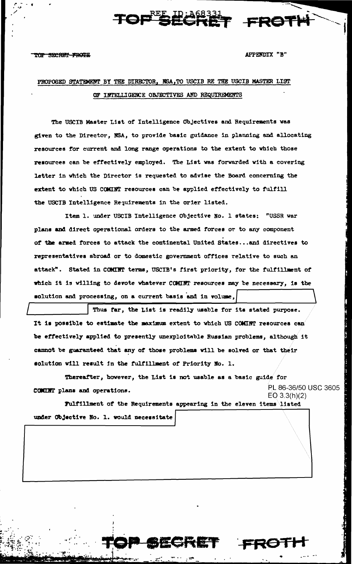APPENDIX "B"

F FROT

# PROPOSED STATEMENT BY THE DIRECTOR, NSA, TO USCIB RE THE USCIB MASTER LIST OF INTELLIGENCE OBJECTIVES AND REQUIREMENTS

TOPE ID: 46833

The USCIB Master List of Intelligence Objectives and Requirements was given to the Director, NSA, to provide basic guidance in planning and allocating resources for current and long range operations to the extent to which those resources can be effectively employed. The List was forwarded with a covering letter in which the Director is requested to advise the Board concerning the extent to which US COMINT resources can be applied effectively to fulfill the USCIB Intelligence Requirements in the order listed.

Item 1. under USCIB Intelligence Objective No. 1 states: "USSR war plans and direct operational orders to the armed forces or to any component of the armed forces to attack the continental United States...and directives to representatives abroad or to domestic government offices relative to such an attack". Stated in COMINT terms, USCIB's first priority, for the fulfillment of which it is willing to devote whatever COMINT resources may be necessary, is the solution and processing, on a current basis and in volume,

Thus far, the List is readily usable for its stated purpose. It is possible to estimate the maximum extent to which US COMINT resources can be effectively applied to presently unexploitable Russian problems, although it cannot be guaranteed that any of those problems will be solved or that their solution will result in the fulfillment of Priority No. 1.

Thereafter, however, the List is not usable as a basic guide for PL 86-36/50 USC 3605 CONCHT plans and operations.  $EQ 3.3(h)(2)$ 

Fulfillment of the Requirements appearing in the eleven items listed under Objective No. 1. would necessitate